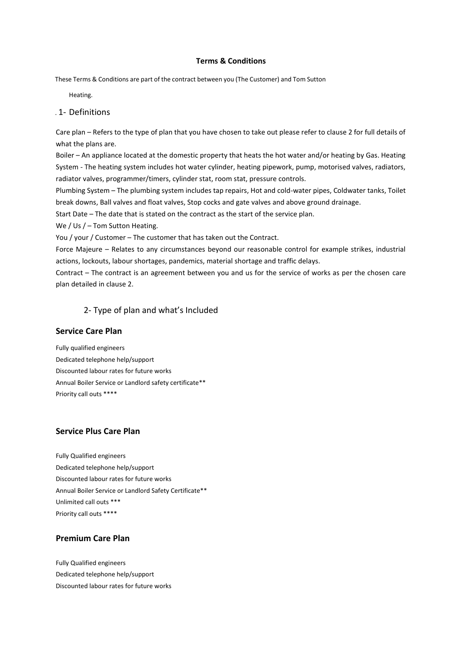#### **Terms & Conditions**

These Terms & Conditions are part of the contract between you (The Customer) and Tom Sutton

Heating.

# . 1- Definitions

Care plan – Refers to the type of plan that you have chosen to take out please refer to clause 2 for full details of what the plans are.

Boiler – An appliance located at the domestic property that heats the hot water and/or heating by Gas. Heating System - The heating system includes hot water cylinder, heating pipework, pump, motorised valves, radiators, radiator valves, programmer/timers, cylinder stat, room stat, pressure controls.

Plumbing System – The plumbing system includes tap repairs, Hot and cold-water pipes, Coldwater tanks, Toilet break downs, Ball valves and float valves, Stop cocks and gate valves and above ground drainage.

Start Date – The date that is stated on the contract as the start of the service plan.

We / Us / – Tom Sutton Heating.

You / your / Customer – The customer that has taken out the Contract.

Force Majeure – Relates to any circumstances beyond our reasonable control for example strikes, industrial actions, lockouts, labour shortages, pandemics, material shortage and traffic delays.

Contract – The contract is an agreement between you and us for the service of works as per the chosen care plan detailed in clause 2.

### 2- Type of plan and what's Included

#### **Service Care Plan**

Fully qualified engineers Dedicated telephone help/support Discounted labour rates for future works Annual Boiler Service or Landlord safety certificate\*\* Priority call outs \*\*\*\*

#### **Service Plus Care Plan**

Fully Qualified engineers Dedicated telephone help/support Discounted labour rates for future works Annual Boiler Service or Landlord Safety Certificate\*\* Unlimited call outs \*\*\* Priority call outs \*\*\*\*

# **Premium Care Plan**

Fully Qualified engineers Dedicated telephone help/support Discounted labour rates for future works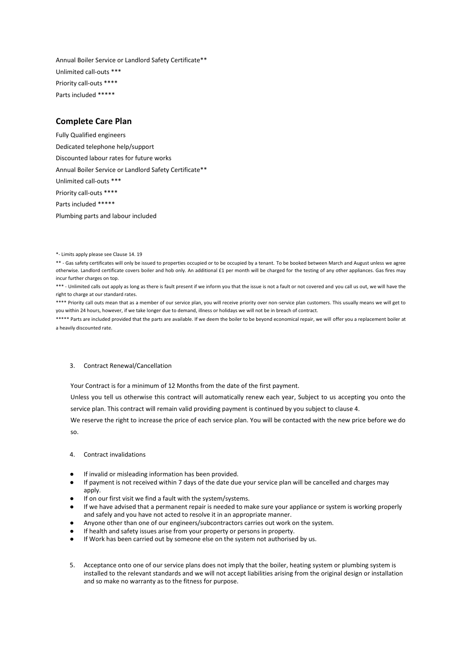Annual Boiler Service or Landlord Safety Certificate\*\* Unlimited call-outs \*\*\* Priority call-outs \*\*\*\* Parts included \*\*\*\*\*

## **Complete Care Plan**

Fully Qualified engineers Dedicated telephone help/support Discounted labour rates for future works Annual Boiler Service or Landlord Safety Certificate\*\* Unlimited call-outs \*\*\* Priority call-outs \*\*\*\* Parts included \*\*\*\*\* Plumbing parts and labour included

\*\*\* - Unlimited calls out apply as long as there is fault present if we inform you that the issue is not a fault or not covered and you call us out, we will have the right to charge at our standard rates.

\*\*\*\* Priority call outs mean that as a member of our service plan, you will receive priority over non-service plan customers. This usually means we will get to you within 24 hours, however, if we take longer due to demand, illness or holidays we will not be in breach of contract.

\*\*\*\*\* Parts are included provided that the parts are available. If we deem the boiler to be beyond economical repair, we will offer you a replacement boiler at a heavily discounted rate.

#### 3. Contract Renewal/Cancellation

Your Contract is for a minimum of 12 Months from the date of the first payment.

Unless you tell us otherwise this contract will automatically renew each year, Subject to us accepting you onto the service plan. This contract will remain valid providing payment is continued by you subject to clause 4.

We reserve the right to increase the price of each service plan. You will be contacted with the new price before we do so.

- 4. Contract invalidations
- If invalid or misleading information has been provided.
- If payment is not received within 7 days of the date due your service plan will be cancelled and charges may apply.
- If on our first visit we find a fault with the system/systems.
- If we have advised that a permanent repair is needed to make sure your appliance or system is working properly and safely and you have not acted to resolve it in an appropriate manner.
- Anyone other than one of our engineers/subcontractors carries out work on the system.
- If health and safety issues arise from your property or persons in property.
- If Work has been carried out by someone else on the system not authorised by us.
- 5. Acceptance onto one of our service plans does not imply that the boiler, heating system or plumbing system is installed to the relevant standards and we will not accept liabilities arising from the original design or installation and so make no warranty as to the fitness for purpose.

<sup>\*-</sup> Limits apply please see Clause 14. 19

<sup>\*\* -</sup> Gas safety certificates will only be issued to properties occupied or to be occupied by a tenant. To be booked between March and August unless we agree otherwise. Landlord certificate covers boiler and hob only. An additional £1 per month will be charged for the testing of any other appliances. Gas fires may incur further charges on top.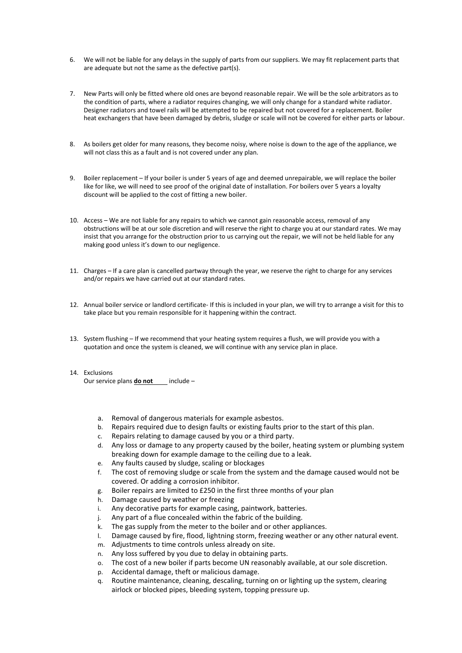- 6. We will not be liable for any delays in the supply of parts from our suppliers. We may fit replacement parts that are adequate but not the same as the defective part(s).
- 7. New Parts will only be fitted where old ones are beyond reasonable repair. We will be the sole arbitrators as to the condition of parts, where a radiator requires changing, we will only change for a standard white radiator. Designer radiators and towel rails will be attempted to be repaired but not covered for a replacement. Boiler heat exchangers that have been damaged by debris, sludge or scale will not be covered for either parts or labour.
- 8. As boilers get older for many reasons, they become noisy, where noise is down to the age of the appliance, we will not class this as a fault and is not covered under any plan.
- 9. Boiler replacement If your boiler is under 5 years of age and deemed unrepairable, we will replace the boiler like for like, we will need to see proof of the original date of installation. For boilers over 5 years a loyalty discount will be applied to the cost of fitting a new boiler.
- 10. Access We are not liable for any repairs to which we cannot gain reasonable access, removal of any obstructions will be at our sole discretion and will reserve the right to charge you at our standard rates. We may insist that you arrange for the obstruction prior to us carrying out the repair, we will not be held liable for any making good unless it's down to our negligence.
- 11. Charges If a care plan is cancelled partway through the year, we reserve the right to charge for any services and/or repairs we have carried out at our standard rates.
- 12. Annual boiler service or landlord certificate- If this is included in your plan, we will try to arrange a visit for this to take place but you remain responsible for it happening within the contract.
- 13. System flushing If we recommend that your heating system requires a flush, we will provide you with a quotation and once the system is cleaned, we will continue with any service plan in place.
- 14. Exclusions Our service plans **do not** include –
	- a. Removal of dangerous materials for example asbestos.
	- b. Repairs required due to design faults or existing faults prior to the start of this plan.
	- c. Repairs relating to damage caused by you or a third party.
	- d. Any loss or damage to any property caused by the boiler, heating system or plumbing system breaking down for example damage to the ceiling due to a leak.
	- e. Any faults caused by sludge, scaling or blockages
	- f. The cost of removing sludge or scale from the system and the damage caused would not be covered. Or adding a corrosion inhibitor.
	- g. Boiler repairs are limited to £250 in the first three months of your plan
	- h. Damage caused by weather or freezing
	- i. Any decorative parts for example casing, paintwork, batteries.
	- j. Any part of a flue concealed within the fabric of the building.
	- k. The gas supply from the meter to the boiler and or other appliances.
	- l. Damage caused by fire, flood, lightning storm, freezing weather or any other natural event.
	- m. Adjustments to time controls unless already on site.
	- n. Any loss suffered by you due to delay in obtaining parts.
	- o. The cost of a new boiler if parts become UN reasonably available, at our sole discretion.
	- p. Accidental damage, theft or malicious damage.
	- q. Routine maintenance, cleaning, descaling, turning on or lighting up the system, clearing airlock or blocked pipes, bleeding system, topping pressure up.